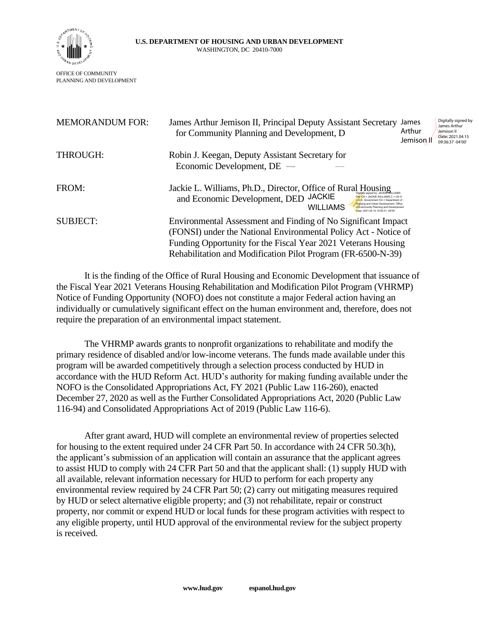

| <b>MEMORANDUM FOR:</b> | James Arthur Jemison II, Principal Deputy Assistant Secretary<br>for Community Planning and Development, D                                                                                                                                                                                                                 | James<br>Arthur<br>Jemison II | Digitally signed by<br>James Arthur<br>Jemison II<br>Date: 2021.04.15<br>09:36:37 -04'00' |
|------------------------|----------------------------------------------------------------------------------------------------------------------------------------------------------------------------------------------------------------------------------------------------------------------------------------------------------------------------|-------------------------------|-------------------------------------------------------------------------------------------|
| THROUGH:               | Robin J. Keegan, Deputy Assistant Secretary for<br>Economic Development, DE<br><b>Sensation Control</b>                                                                                                                                                                                                                    |                               |                                                                                           |
| FROM:                  | Jackie L. Williams, Ph.D., Director, Office of Rural Housing<br>and Economic Development, DED JACKIE<br>$DN^cCN = JACKIF$ WILLIAMS $C = USO$<br>U.S. Government OU = Department of<br>Housing and Urban Development, Office<br><b>WILLIAMS</b><br>of Community Planning and Development<br>ate: 2021 04:14:15:50:31 -04'00 |                               |                                                                                           |
| <b>SUBJECT:</b>        | Environmental Assessment and Finding of No Significant Impact<br>(FONSI) under the National Environmental Policy Act - Notice of<br>Funding Opportunity for the Fiscal Year 2021 Veterans Housing<br>Rehabilitation and Modification Pilot Program (FR-6500-N-39)                                                          |                               |                                                                                           |

It is the finding of the Office of Rural Housing and Economic Development that issuance of the Fiscal Year 2021 Veterans Housing Rehabilitation and Modification Pilot Program (VHRMP) Notice of Funding Opportunity (NOFO) does not constitute a major Federal action having an individually or cumulatively significant effect on the human environment and, therefore, does not require the preparation of an environmental impact statement.

The VHRMP awards grants to nonprofit organizations to rehabilitate and modify the primary residence of disabled and/or low-income veterans. The funds made available under this program will be awarded competitively through a selection process conducted by HUD in accordance with the HUD Reform Act. HUD's authority for making funding available under the NOFO is the Consolidated Appropriations Act, FY 2021 (Public Law 116-260), enacted December 27, 2020 as well as the Further Consolidated Appropriations Act, 2020 (Public Law 116-94) and Consolidated Appropriations Act of 2019 (Public Law 116-6).

After grant award, HUD will complete an environmental review of properties selected for housing to the extent required under 24 CFR Part 50. In accordance with 24 CFR 50.3(h), the applicant's submission of an application will contain an assurance that the applicant agrees to assist HUD to comply with 24 CFR Part 50 and that the applicant shall: (1) supply HUD with all available, relevant information necessary for HUD to perform for each property any environmental review required by 24 CFR Part 50; (2) carry out mitigating measures required by HUD or select alternative eligible property; and (3) not rehabilitate, repair or construct property, nor commit or expend HUD or local funds for these program activities with respect to any eligible property, until HUD approval of the environmental review for the subject property is received.